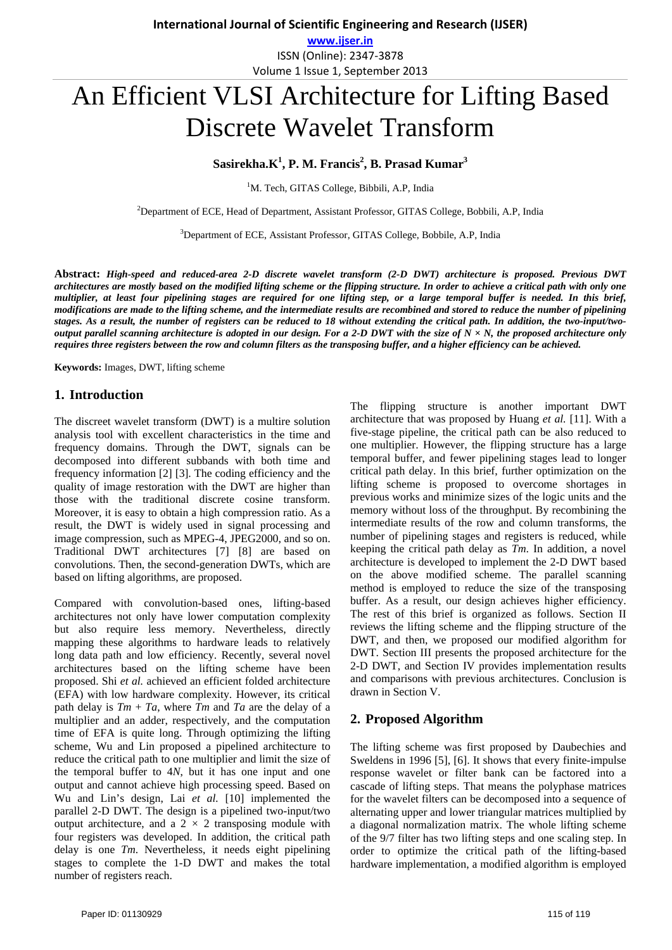**www.ijser.in** ISSN (Online): 2347‐3878 Volume 1 Issue 1, September 2013

# An Efficient VLSI Architecture for Lifting Based Discrete Wavelet Transform

# $S$ asirekha.K<sup>1</sup>, P. M. Francis<sup>2</sup>, B. Prasad Kumar<sup>3</sup>

<sup>1</sup>M. Tech, GITAS College, Bibbili, A.P, India

<sup>2</sup>Department of ECE, Head of Department, Assistant Professor, GITAS College, Bobbili, A.P, India

3 Department of ECE, Assistant Professor, GITAS College, Bobbile, A.P, India

**Abstract:** *High-speed and reduced-area 2-D discrete wavelet transform (2-D DWT) architecture is proposed. Previous DWT architectures are mostly based on the modified lifting scheme or the flipping structure. In order to achieve a critical path with only one multiplier, at least four pipelining stages are required for one lifting step, or a large temporal buffer is needed. In this brief, modifications are made to the lifting scheme, and the intermediate results are recombined and stored to reduce the number of pipelining stages. As a result, the number of registers can be reduced to 18 without extending the critical path. In addition, the two-input/twooutput parallel scanning architecture is adopted in our design. For a 2-D DWT with the size of*  $N \times N$ *, the proposed architecture only requires three registers between the row and column filters as the transposing buffer, and a higher efficiency can be achieved.*

**Keywords:** Images, DWT, lifting scheme

# **1. Introduction**

The discreet wavelet transform (DWT) is a multire solution analysis tool with excellent characteristics in the time and frequency domains. Through the DWT, signals can be decomposed into different subbands with both time and frequency information [2] [3]. The coding efficiency and the quality of image restoration with the DWT are higher than those with the traditional discrete cosine transform. Moreover, it is easy to obtain a high compression ratio. As a result, the DWT is widely used in signal processing and image compression, such as MPEG-4, JPEG2000, and so on. Traditional DWT architectures [7] [8] are based on convolutions. Then, the second-generation DWTs, which are based on lifting algorithms, are proposed.

Compared with convolution-based ones, lifting-based architectures not only have lower computation complexity but also require less memory. Nevertheless, directly mapping these algorithms to hardware leads to relatively long data path and low efficiency. Recently, several novel architectures based on the lifting scheme have been proposed. Shi *et al.* achieved an efficient folded architecture (EFA) with low hardware complexity. However, its critical path delay is  $Tm + Ta$ , where  $\overline{T}m$  and  $\overline{T}a$  are the delay of a multiplier and an adder, respectively, and the computation time of EFA is quite long. Through optimizing the lifting scheme, Wu and Lin proposed a pipelined architecture to reduce the critical path to one multiplier and limit the size of the temporal buffer to 4*N*, but it has one input and one output and cannot achieve high processing speed. Based on Wu and Lin's design, Lai *et al.* [10] implemented the parallel 2-D DWT. The design is a pipelined two-input/two output architecture, and a  $2 \times 2$  transposing module with four registers was developed. In addition, the critical path delay is one *Tm*. Nevertheless, it needs eight pipelining stages to complete the 1-D DWT and makes the total number of registers reach.

The flipping structure is another important DWT architecture that was proposed by Huang *et al.* [11]. With a five-stage pipeline, the critical path can be also reduced to one multiplier. However, the flipping structure has a large temporal buffer, and fewer pipelining stages lead to longer critical path delay. In this brief, further optimization on the lifting scheme is proposed to overcome shortages in previous works and minimize sizes of the logic units and the memory without loss of the throughput. By recombining the intermediate results of the row and column transforms, the number of pipelining stages and registers is reduced, while keeping the critical path delay as *Tm*. In addition, a novel architecture is developed to implement the 2-D DWT based on the above modified scheme. The parallel scanning method is employed to reduce the size of the transposing buffer. As a result, our design achieves higher efficiency. The rest of this brief is organized as follows. Section II reviews the lifting scheme and the flipping structure of the DWT, and then, we proposed our modified algorithm for DWT. Section III presents the proposed architecture for the 2-D DWT, and Section IV provides implementation results and comparisons with previous architectures. Conclusion is drawn in Section V.

# **2. Proposed Algorithm**

The lifting scheme was first proposed by Daubechies and Sweldens in 1996 [5], [6]. It shows that every finite-impulse response wavelet or filter bank can be factored into a cascade of lifting steps. That means the polyphase matrices for the wavelet filters can be decomposed into a sequence of alternating upper and lower triangular matrices multiplied by a diagonal normalization matrix. The whole lifting scheme of the 9/7 filter has two lifting steps and one scaling step. In order to optimize the critical path of the lifting-based hardware implementation, a modified algorithm is employed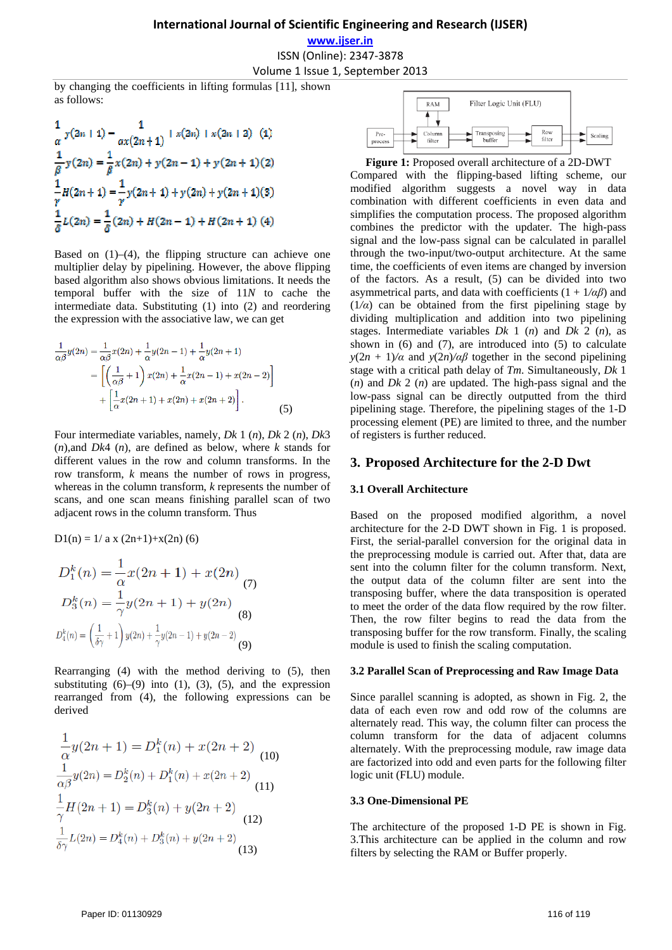**www.ijser.in**

ISSN (Online): 2347‐3878

Volume 1 Issue 1, September 2013

by changing the coefficients in lifting formulas [11], shown as follows:

$$
\frac{1}{\alpha} y(2n+1) - \frac{1}{\alpha x(2n+1)} + x(2n) + x(2n+2) \quad (1)
$$
  

$$
\frac{1}{\beta} y(2n) = \frac{1}{\beta} x(2n) + y(2n-1) + y(2n+1)(2)
$$
  

$$
\frac{1}{\gamma} H(2n+1) = \frac{1}{\gamma} y(2n+1) + y(2n) + y(2n+1)(3)
$$
  

$$
\frac{1}{\delta} L(2n) = \frac{1}{\delta} (2n) + H(2n-1) + H(2n+1) \quad (4)
$$

Based on  $(1)$ – $(4)$ , the flipping structure can achieve one multiplier delay by pipelining. However, the above flipping based algorithm also shows obvious limitations. It needs the temporal buffer with the size of 11*N* to cache the intermediate data. Substituting (1) into (2) and reordering the expression with the associative law, we can get

$$
\frac{1}{\alpha\beta}y(2n) = \frac{1}{\alpha\beta}x(2n) + \frac{1}{\alpha}y(2n-1) + \frac{1}{\alpha}y(2n+1)
$$

$$
= \left[ \left(\frac{1}{\alpha\beta} + 1\right)x(2n) + \frac{1}{\alpha}x(2n-1) + x(2n-2) \right]
$$

$$
+ \left[ \frac{1}{\alpha}x(2n+1) + x(2n) + x(2n+2) \right].
$$
(5)

Four intermediate variables, namely, *Dk* 1 (*n*), *Dk* 2 (*n*), *Dk*3 (*n*),and *Dk*4 (*n*), are defined as below, where *k* stands for different values in the row and column transforms. In the row transform, *k* means the number of rows in progress, whereas in the column transform, *k* represents the number of scans, and one scan means finishing parallel scan of two adjacent rows in the column transform. Thus

$$
D1(n) = 1/a \times (2n+1) + x(2n) (6)
$$

$$
D_1^k(n) = \frac{1}{\alpha} x(2n + 1) + x(2n)
$$
  
\n
$$
D_3^k(n) = \frac{1}{\gamma} y(2n + 1) + y(2n)
$$
  
\n
$$
D_4^k(n) = \left(\frac{1}{\delta\gamma} + 1\right) y(2n) + \frac{1}{\gamma} y(2n - 1) + y(2n - 2)
$$
  
\n(8)

Rearranging (4) with the method deriving to (5), then substituting  $(6)$ – $(9)$  into  $(1)$ ,  $(3)$ ,  $(5)$ , and the expression rearranged from (4), the following expressions can be derived

$$
\frac{1}{\alpha}y(2n+1) = D_1^k(n) + x(2n+2)
$$
\n
$$
\frac{1}{\alpha\beta}y(2n) = D_2^k(n) + D_1^k(n) + x(2n+2)
$$
\n
$$
\frac{1}{\gamma}H(2n+1) = D_3^k(n) + y(2n+2)
$$
\n
$$
\frac{1}{\delta\gamma}L(2n) = D_4^k(n) + D_3^k(n) + y(2n+2)
$$
\n(13)



**Figure 1:** Proposed overall architecture of a 2D-DWT Compared with the flipping-based lifting scheme, our modified algorithm suggests a novel way in data combination with different coefficients in even data and simplifies the computation process. The proposed algorithm combines the predictor with the updater. The high-pass signal and the low-pass signal can be calculated in parallel through the two-input/two-output architecture. At the same time, the coefficients of even items are changed by inversion of the factors. As a result, (5) can be divided into two asymmetrical parts, and data with coefficients  $(1 + 1/\alpha\beta)$  and  $(1/\alpha)$  can be obtained from the first pipelining stage by dividing multiplication and addition into two pipelining stages. Intermediate variables *Dk* 1 (*n*) and *Dk* 2 (*n*), as shown in (6) and (7), are introduced into (5) to calculate *y*( $2n + 1$ )/*α* and *y*( $2n$ )/*αβ* together in the second pipelining stage with a critical path delay of *Tm*. Simultaneously, *Dk* 1 (*n*) and *Dk* 2 (*n*) are updated. The high-pass signal and the low-pass signal can be directly outputted from the third pipelining stage. Therefore, the pipelining stages of the 1-D processing element (PE) are limited to three, and the number of registers is further reduced.

## **3. Proposed Architecture for the 2-D Dwt**

#### **3.1 Overall Architecture**

Based on the proposed modified algorithm, a novel architecture for the 2-D DWT shown in Fig. 1 is proposed. First, the serial-parallel conversion for the original data in the preprocessing module is carried out. After that, data are sent into the column filter for the column transform. Next, the output data of the column filter are sent into the transposing buffer, where the data transposition is operated to meet the order of the data flow required by the row filter. Then, the row filter begins to read the data from the transposing buffer for the row transform. Finally, the scaling module is used to finish the scaling computation.

#### **3.2 Parallel Scan of Preprocessing and Raw Image Data**

Since parallel scanning is adopted, as shown in Fig. 2, the data of each even row and odd row of the columns are alternately read. This way, the column filter can process the column transform for the data of adjacent columns alternately. With the preprocessing module, raw image data are factorized into odd and even parts for the following filter logic unit (FLU) module.

#### **3.3 One-Dimensional PE**

The architecture of the proposed 1-D PE is shown in Fig. 3.This architecture can be applied in the column and row filters by selecting the RAM or Buffer properly.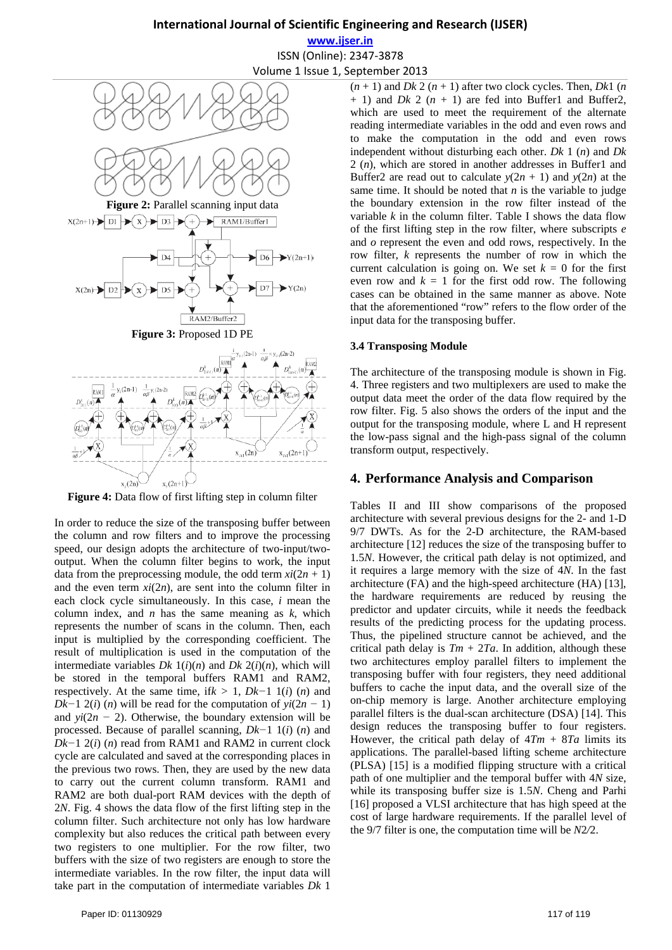**www.ijser.in** ISSN (Online): 2347‐3878 Volume 1 Issue 1, September 2013



**Figure 4:** Data flow of first lifting step in column filter

In order to reduce the size of the transposing buffer between the column and row filters and to improve the processing speed, our design adopts the architecture of two-input/twooutput. When the column filter begins to work, the input data from the preprocessing module, the odd term  $xi(2n + 1)$ and the even term  $xi(2n)$ , are sent into the column filter in each clock cycle simultaneously. In this case, *i* mean the column index, and *n* has the same meaning as *k*, which represents the number of scans in the column. Then, each input is multiplied by the corresponding coefficient. The result of multiplication is used in the computation of the intermediate variables  $Dk \ 1(i)(n)$  and  $Dk \ 2(i)(n)$ , which will be stored in the temporal buffers RAM1 and RAM2, respectively. At the same time, if*k >* 1, *Dk−*1 1(*i*) (*n*) and *Dk*<sup>−1</sup> 2(*i*) (*n*) will be read for the computation of  $yi(2n - 1)$ and  $yi(2n - 2)$ . Otherwise, the boundary extension will be processed. Because of parallel scanning, *Dk−*1 1(*i*) (*n*) and *Dk*<sup>−1</sup> 2(*i*) (*n*) read from RAM1 and RAM2 in current clock cycle are calculated and saved at the corresponding places in the previous two rows. Then, they are used by the new data to carry out the current column transform. RAM1 and RAM2 are both dual-port RAM devices with the depth of 2*N*. Fig. 4 shows the data flow of the first lifting step in the column filter. Such architecture not only has low hardware complexity but also reduces the critical path between every two registers to one multiplier. For the row filter, two buffers with the size of two registers are enough to store the intermediate variables. In the row filter, the input data will take part in the computation of intermediate variables *Dk* 1

 $(n + 1)$  and *Dk* 2  $(n + 1)$  after two clock cycles. Then, *Dk*1  $(n + 1)$  $+ 1$ ) and *Dk* 2 ( $n + 1$ ) are fed into Buffer1 and Buffer2, which are used to meet the requirement of the alternate reading intermediate variables in the odd and even rows and to make the computation in the odd and even rows independent without disturbing each other. *Dk* 1 (*n*) and *Dk*  2 (*n*), which are stored in another addresses in Buffer1 and Buffer2 are read out to calculate  $y(2n + 1)$  and  $y(2n)$  at the same time. It should be noted that *n* is the variable to judge the boundary extension in the row filter instead of the variable  $k$  in the column filter. Table I shows the data flow of the first lifting step in the row filter, where subscripts *e*  and *o* represent the even and odd rows, respectively. In the row filter, *k* represents the number of row in which the current calculation is going on. We set  $k = 0$  for the first even row and  $k = 1$  for the first odd row. The following cases can be obtained in the same manner as above. Note that the aforementioned "row" refers to the flow order of the input data for the transposing buffer.

#### **3.4 Transposing Module**

The architecture of the transposing module is shown in Fig. 4. Three registers and two multiplexers are used to make the output data meet the order of the data flow required by the row filter. Fig. 5 also shows the orders of the input and the output for the transposing module, where L and H represent the low-pass signal and the high-pass signal of the column transform output, respectively.

## **4. Performance Analysis and Comparison**

Tables II and III show comparisons of the proposed architecture with several previous designs for the 2- and 1-D 9/7 DWTs. As for the 2-D architecture, the RAM-based architecture [12] reduces the size of the transposing buffer to 1*.*5*N*. However, the critical path delay is not optimized, and it requires a large memory with the size of 4*N*. In the fast architecture (FA) and the high-speed architecture (HA) [13], the hardware requirements are reduced by reusing the predictor and updater circuits, while it needs the feedback results of the predicting process for the updating process. Thus, the pipelined structure cannot be achieved, and the critical path delay is  $Tm + 2Ta$ . In addition, although these two architectures employ parallel filters to implement the transposing buffer with four registers, they need additional buffers to cache the input data, and the overall size of the on-chip memory is large. Another architecture employing parallel filters is the dual-scan architecture (DSA) [14]. This design reduces the transposing buffer to four registers. However, the critical path delay of  $4Tm + 8Ta$  limits its applications. The parallel-based lifting scheme architecture (PLSA) [15] is a modified flipping structure with a critical path of one multiplier and the temporal buffer with 4*N* size, while its transposing buffer size is 1*.*5*N*. Cheng and Parhi [16] proposed a VLSI architecture that has high speed at the cost of large hardware requirements. If the parallel level of the 9/7 filter is one, the computation time will be *N*2*/*2.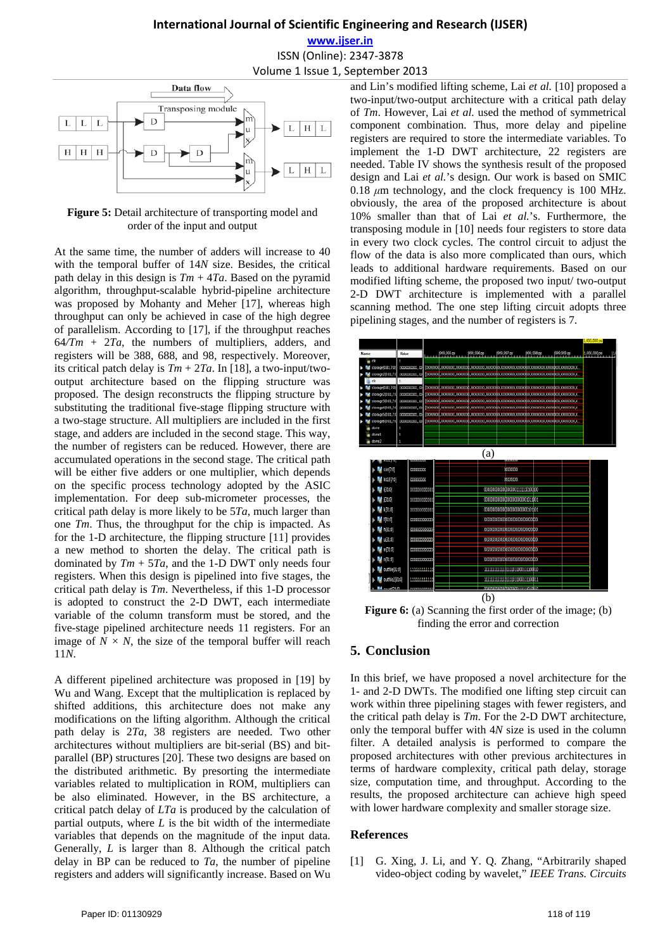**www.ijser.in** ISSN (Online): 2347‐3878



**Figure 5:** Detail architecture of transporting model and order of the input and output

At the same time, the number of adders will increase to 40 with the temporal buffer of 14*N* size. Besides, the critical path delay in this design is  $Tm + 4Ta$ . Based on the pyramid algorithm, throughput-scalable hybrid-pipeline architecture was proposed by Mohanty and Meher [17], whereas high throughput can only be achieved in case of the high degree of parallelism. According to [17], if the throughput reaches  $64/Tm + 2Ta$ , the numbers of multipliers, adders, and registers will be 388, 688, and 98, respectively. Moreover, its critical patch delay is  $Tm + 2Ta$ . In [18], a two-input/twooutput architecture based on the flipping structure was proposed. The design reconstructs the flipping structure by substituting the traditional five-stage flipping structure with a two-stage structure. All multipliers are included in the first stage, and adders are included in the second stage. This way, the number of registers can be reduced. However, there are accumulated operations in the second stage. The critical path will be either five adders or one multiplier, which depends on the specific process technology adopted by the ASIC implementation. For deep sub-micrometer processes, the critical path delay is more likely to be 5*Ta*, much larger than one *Tm*. Thus, the throughput for the chip is impacted. As for the 1-D architecture, the flipping structure [11] provides a new method to shorten the delay. The critical path is dominated by  $Tm + 5Ta$ , and the 1-D DWT only needs four registers. When this design is pipelined into five stages, the critical path delay is *Tm*. Nevertheless, if this 1-D processor is adopted to construct the 2-D DWT, each intermediate variable of the column transform must be stored, and the five-stage pipelined architecture needs 11 registers. For an image of  $N \times N$ , the size of the temporal buffer will reach 11*N*.

A different pipelined architecture was proposed in [19] by Wu and Wang. Except that the multiplication is replaced by shifted additions, this architecture does not make any modifications on the lifting algorithm. Although the critical path delay is 2*Ta*, 38 registers are needed. Two other architectures without multipliers are bit-serial (BS) and bitparallel (BP) structures [20]. These two designs are based on the distributed arithmetic. By presorting the intermediate variables related to multiplication in ROM, multipliers can be also eliminated. However, in the BS architecture, a critical patch delay of *LTa* is produced by the calculation of partial outputs, where *L* is the bit width of the intermediate variables that depends on the magnitude of the input data. Generally, *L* is larger than 8. Although the critical patch delay in BP can be reduced to *Ta*, the number of pipeline registers and adders will significantly increase. Based on Wu and Lin's modified lifting scheme, Lai *et al.* [10] proposed a two-input/two-output architecture with a critical path delay of *Tm*. However, Lai *et al.* used the method of symmetrical component combination. Thus, more delay and pipeline registers are required to store the intermediate variables. To implement the 1-D DWT architecture, 22 registers are needed. Table IV shows the synthesis result of the proposed design and Lai *et al.*'s design. Our work is based on SMIC 0.18 *μ*m technology, and the clock frequency is 100 MHz. obviously, the area of the proposed architecture is about 10% smaller than that of Lai *et al.*'s. Furthermore, the transposing module in [10] needs four registers to store data in every two clock cycles. The control circuit to adjust the flow of the data is also more complicated than ours, which leads to additional hardware requirements. Based on our modified lifting scheme, the proposed two input/ two-output 2-D DWT architecture is implemented with a parallel scanning method. The one step lifting circuit adopts three pipelining stages, and the number of registers is 7.



**Figure 6:** (a) Scanning the first order of the image; (b) finding the error and correction

# **5. Conclusion**

In this brief, we have proposed a novel architecture for the 1- and 2-D DWTs. The modified one lifting step circuit can work within three pipelining stages with fewer registers, and the critical path delay is *Tm*. For the 2-D DWT architecture, only the temporal buffer with 4*N* size is used in the column filter. A detailed analysis is performed to compare the proposed architectures with other previous architectures in terms of hardware complexity, critical path delay, storage size, computation time, and throughput. According to the results, the proposed architecture can achieve high speed with lower hardware complexity and smaller storage size.

## **References**

[1] G. Xing, J. Li, and Y. Q. Zhang, "Arbitrarily shaped video-object coding by wavelet," *IEEE Trans. Circuits*